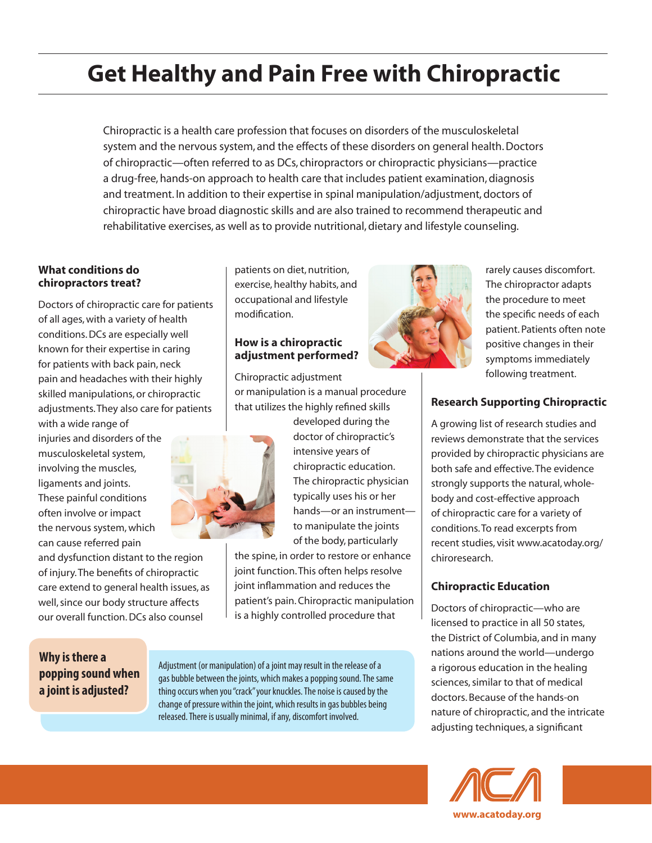# **Get Healthy and Pain Free with Chiropractic**

Chiropractic is a health care profession that focuses on disorders of the musculoskeletal system and the nervous system, and the effects of these disorders on general health. Doctors of chiropractic—often referred to as DCs, chiropractors or chiropractic physicians—practice a drug-free, hands-on approach to health care that includes patient examination, diagnosis and treatment. In addition to their expertise in spinal manipulation/adjustment, doctors of chiropractic have broad diagnostic skills and are also trained to recommend therapeutic and rehabilitative exercises, as well as to provide nutritional, dietary and lifestyle counseling.

#### **What conditions do chiropractors treat?**

Doctors of chiropractic care for patients of all ages, with a variety of health conditions. DCs are especially well known for their expertise in caring for patients with back pain, neck pain and headaches with their highly skilled manipulations, or chiropractic adjustments. They also care for patients

with a wide range of injuries and disorders of the musculoskeletal system, involving the muscles, ligaments and joints. These painful conditions often involve or impact the nervous system, which can cause referred pain

and dysfunction distant to the region of injury. The benefits of chiropractic care extend to general health issues, as well, since our body structure affects our overall function. DCs also counsel

patients on diet, nutrition, exercise, healthy habits, and occupational and lifestyle modification.

### **How is a chiropractic adjustment performed?**

Chiropractic adjustment or manipulation is a manual procedure that utilizes the highly refined skills



developed during the doctor of chiropractic's intensive years of chiropractic education. The chiropractic physician typically uses his or her hands—or an instrument to manipulate the joints of the body, particularly

the spine, in order to restore or enhance joint function. This often helps resolve joint inflammation and reduces the patient's pain. Chiropractic manipulation is a highly controlled procedure that

## **Why is there a popping sound when a joint is adjusted?**

Adjustment (or manipulation) of a joint may result in the release of a gas bubble between the joints, which makes a popping sound. The same thing occurs when you "crack" your knuckles. The noise is caused by the change of pressure within the joint, which results in gas bubbles being released. There is usually minimal, if any, discomfort involved.



rarely causes discomfort. The chiropractor adapts the procedure to meet the specific needs of each patient. Patients often note positive changes in their symptoms immediately following treatment.

## **Research Supporting Chiropractic**

A growing list of research studies and reviews demonstrate that the services provided by chiropractic physicians are both safe and effective. The evidence strongly supports the natural, wholebody and cost-effective approach of chiropractic care for a variety of conditions. To read excerpts from recent studies, visit www.acatoday.org/ chiroresearch.

# **Chiropractic Education**

Doctors of chiropractic—who are licensed to practice in all 50 states, the District of Columbia, and in many nations around the world—undergo a rigorous education in the healing sciences, similar to that of medical doctors. Because of the hands-on nature of chiropractic, and the intricate adjusting techniques, a significant